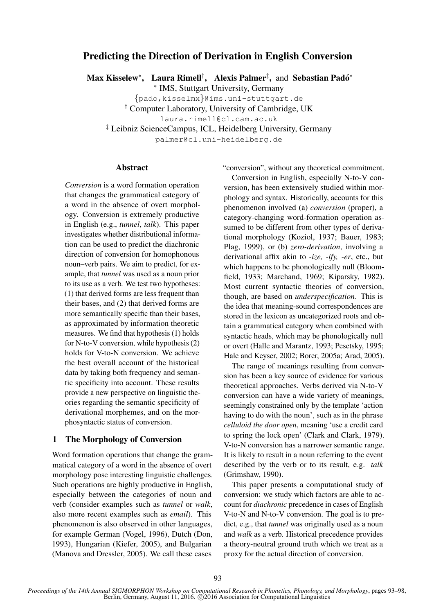# Predicting the Direction of Derivation in English Conversion

Max Kisselew\*, Laura Rimell<sup>†</sup>, Alexis Palmer<sup>‡</sup>, and Sebastian Padó\*

∗ IMS, Stuttgart University, Germany

{pado,kisselmx}@ims.uni-stuttgart.de

† Computer Laboratory, University of Cambridge, UK

laura.rimell@cl.cam.ac.uk

‡ Leibniz ScienceCampus, ICL, Heidelberg University, Germany

palmer@cl.uni-heidelberg.de

## Abstract

*Conversion* is a word formation operation that changes the grammatical category of a word in the absence of overt morphology. Conversion is extremely productive in English (e.g., *tunnel*, *talk*). This paper investigates whether distributional information can be used to predict the diachronic direction of conversion for homophonous noun–verb pairs. We aim to predict, for example, that *tunnel* was used as a noun prior to its use as a verb. We test two hypotheses: (1) that derived forms are less frequent than their bases, and (2) that derived forms are more semantically specific than their bases, as approximated by information theoretic measures. We find that hypothesis (1) holds for N-to-V conversion, while hypothesis (2) holds for V-to-N conversion. We achieve the best overall account of the historical data by taking both frequency and semantic specificity into account. These results provide a new perspective on linguistic theories regarding the semantic specificity of derivational morphemes, and on the morphosyntactic status of conversion.

## 1 The Morphology of Conversion

Word formation operations that change the grammatical category of a word in the absence of overt morphology pose interesting linguistic challenges. Such operations are highly productive in English, especially between the categories of noun and verb (consider examples such as *tunnel* or *walk*, also more recent examples such as *email*). This phenomenon is also observed in other languages, for example German (Vogel, 1996), Dutch (Don, 1993), Hungarian (Kiefer, 2005), and Bulgarian (Manova and Dressler, 2005). We call these cases

"conversion", without any theoretical commitment.

Conversion in English, especially N-to-V conversion, has been extensively studied within morphology and syntax. Historically, accounts for this phenomenon involved (a) *conversion* (proper), a category-changing word-formation operation assumed to be different from other types of derivational morphology (Koziol, 1937; Bauer, 1983; Plag, 1999), or (b) *zero-derivation*, involving a derivational affix akin to *-ize, -ify, -er*, etc., but which happens to be phonologically null (Bloomfield, 1933; Marchand, 1969; Kiparsky, 1982). Most current syntactic theories of conversion, though, are based on *underspecification*. This is the idea that meaning-sound correspondences are stored in the lexicon as uncategorized roots and obtain a grammatical category when combined with syntactic heads, which may be phonologically null or overt (Halle and Marantz, 1993; Pesetsky, 1995; Hale and Keyser, 2002; Borer, 2005a; Arad, 2005).

The range of meanings resulting from conversion has been a key source of evidence for various theoretical approaches. Verbs derived via N-to-V conversion can have a wide variety of meanings, seemingly constrained only by the template 'action having to do with the noun', such as in the phrase *celluloid the door open*, meaning 'use a credit card to spring the lock open' (Clark and Clark, 1979). V-to-N conversion has a narrower semantic range. It is likely to result in a noun referring to the event described by the verb or to its result, e.g. *talk* (Grimshaw, 1990).

This paper presents a computational study of conversion: we study which factors are able to account for *diachronic* precedence in cases of English V-to-N and N-to-V conversion. The goal is to predict, e.g., that *tunnel* was originally used as a noun and *walk* as a verb. Historical precedence provides a theory-neutral ground truth which we treat as a proxy for the actual direction of conversion.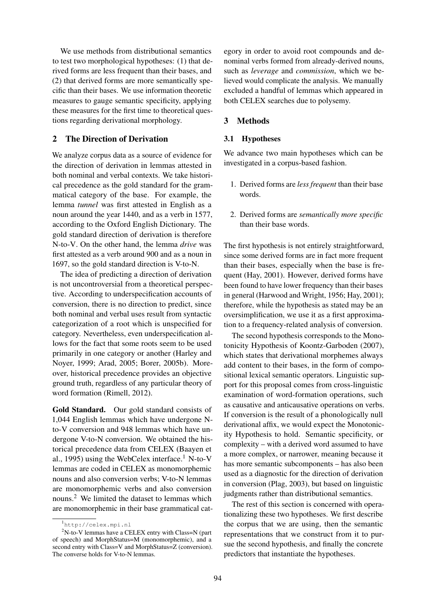We use methods from distributional semantics to test two morphological hypotheses: (1) that derived forms are less frequent than their bases, and (2) that derived forms are more semantically specific than their bases. We use information theoretic measures to gauge semantic specificity, applying these measures for the first time to theoretical questions regarding derivational morphology.

## 2 The Direction of Derivation

We analyze corpus data as a source of evidence for the direction of derivation in lemmas attested in both nominal and verbal contexts. We take historical precedence as the gold standard for the grammatical category of the base. For example, the lemma *tunnel* was first attested in English as a noun around the year 1440, and as a verb in 1577, according to the Oxford English Dictionary. The gold standard direction of derivation is therefore N-to-V. On the other hand, the lemma *drive* was first attested as a verb around 900 and as a noun in 1697, so the gold standard direction is V-to-N.

The idea of predicting a direction of derivation is not uncontroversial from a theoretical perspective. According to underspecification accounts of conversion, there is no direction to predict, since both nominal and verbal uses result from syntactic categorization of a root which is unspecified for category. Nevertheless, even underspecification allows for the fact that some roots seem to be used primarily in one category or another (Harley and Noyer, 1999; Arad, 2005; Borer, 2005b). Moreover, historical precedence provides an objective ground truth, regardless of any particular theory of word formation (Rimell, 2012).

Gold Standard. Our gold standard consists of 1,044 English lemmas which have undergone Nto-V conversion and 948 lemmas which have undergone V-to-N conversion. We obtained the historical precedence data from CELEX (Baayen et al., 1995) using the WebCelex interface.<sup>1</sup> N-to-V lemmas are coded in CELEX as monomorphemic nouns and also conversion verbs; V-to-N lemmas are monomorphemic verbs and also conversion nouns.<sup>2</sup> We limited the dataset to lemmas which are monomorphemic in their base grammatical category in order to avoid root compounds and denominal verbs formed from already-derived nouns, such as *leverage* and *commission*, which we believed would complicate the analysis. We manually excluded a handful of lemmas which appeared in both CELEX searches due to polysemy.

#### 3 Methods

## 3.1 Hypotheses

We advance two main hypotheses which can be investigated in a corpus-based fashion.

- 1. Derived forms are *less frequent* than their base words.
- 2. Derived forms are *semantically more specific* than their base words.

The first hypothesis is not entirely straightforward, since some derived forms are in fact more frequent than their bases, especially when the base is frequent (Hay, 2001). However, derived forms have been found to have lower frequency than their bases in general (Harwood and Wright, 1956; Hay, 2001); therefore, while the hypothesis as stated may be an oversimplification, we use it as a first approximation to a frequency-related analysis of conversion.

The second hypothesis corresponds to the Monotonicity Hypothesis of Koontz-Garboden (2007), which states that derivational morphemes always add content to their bases, in the form of compositional lexical semantic operators. Linguistic support for this proposal comes from cross-linguistic examination of word-formation operations, such as causative and anticausative operations on verbs. If conversion is the result of a phonologically null derivational affix, we would expect the Monotonicity Hypothesis to hold. Semantic specificity, or complexity – with a derived word assumed to have a more complex, or narrower, meaning because it has more semantic subcomponents – has also been used as a diagnostic for the direction of derivation in conversion (Plag, 2003), but based on linguistic judgments rather than distributional semantics.

The rest of this section is concerned with operationalizing these two hypotheses. We first describe the corpus that we are using, then the semantic representations that we construct from it to pursue the second hypothesis, and finally the concrete predictors that instantiate the hypotheses.

<sup>1</sup> http://celex.mpi.nl

 $2$ N-to-V lemmas have a CELEX entry with Class=N (part of speech) and MorphStatus=M (monomorphemic), and a second entry with Class=V and MorphStatus=Z (conversion). The converse holds for V-to-N lemmas.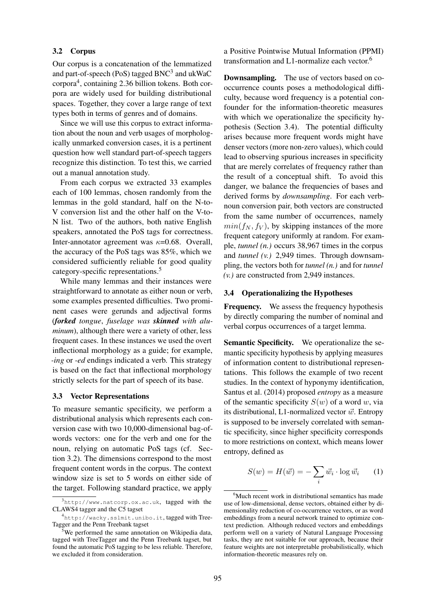#### 3.2 Corpus

Our corpus is a concatenation of the lemmatized and part-of-speech (PoS) tagged  $BNC<sup>3</sup>$  and  $ukWaC$ corpora<sup>4</sup> , containing 2.36 billion tokens. Both corpora are widely used for building distributional spaces. Together, they cover a large range of text types both in terms of genres and of domains.

Since we will use this corpus to extract information about the noun and verb usages of morphologically unmarked conversion cases, it is a pertinent question how well standard part-of-speech taggers recognize this distinction. To test this, we carried out a manual annotation study.

From each corpus we extracted 33 examples each of 100 lemmas, chosen randomly from the lemmas in the gold standard, half on the N-to-V conversion list and the other half on the V-to-N list. Two of the authors, both native English speakers, annotated the PoS tags for correctness. Inter-annotator agreement was  $\kappa$ =0.68. Overall, the accuracy of the PoS tags was 85%, which we considered sufficiently reliable for good quality category-specific representations.<sup>5</sup>

While many lemmas and their instances were straightforward to annotate as either noun or verb, some examples presented difficulties. Two prominent cases were gerunds and adjectival forms (*forked tongue*, *fuselage was skinned with aluminum*), although there were a variety of other, less frequent cases. In these instances we used the overt inflectional morphology as a guide; for example, *-ing* or *-ed* endings indicated a verb. This strategy is based on the fact that inflectional morphology strictly selects for the part of speech of its base.

#### 3.3 Vector Representations

To measure semantic specificity, we perform a distributional analysis which represents each conversion case with two 10,000-dimensional bag-ofwords vectors: one for the verb and one for the noun, relying on automatic PoS tags (cf. Section 3.2). The dimensions correspond to the most frequent content words in the corpus. The context window size is set to 5 words on either side of the target. Following standard practice, we apply

a Positive Pointwise Mutual Information (PPMI) transformation and L1-normalize each vector.<sup>6</sup>

Downsampling. The use of vectors based on cooccurrence counts poses a methodological difficulty, because word frequency is a potential confounder for the information-theoretic measures with which we operationalize the specificity hypothesis (Section 3.4). The potential difficulty arises because more frequent words might have denser vectors (more non-zero values), which could lead to observing spurious increases in specificity that are merely correlates of frequency rather than the result of a conceptual shift. To avoid this danger, we balance the frequencies of bases and derived forms by *downsampling*. For each verbnoun conversion pair, both vectors are constructed from the same number of occurrences, namely  $min(f_N, f_V)$ , by skipping instances of the more frequent category uniformly at random. For example, *tunnel (n.)* occurs 38,967 times in the corpus and *tunnel (v.)* 2,949 times. Through downsampling, the vectors both for *tunnel (n.)* and for *tunnel (v.)* are constructed from 2,949 instances.

#### 3.4 Operationalizing the Hypotheses

Frequency. We assess the frequency hypothesis by directly comparing the number of nominal and verbal corpus occurrences of a target lemma.

Semantic Specificity. We operationalize the semantic specificity hypothesis by applying measures of information content to distributional representations. This follows the example of two recent studies. In the context of hyponymy identification, Santus et al. (2014) proposed *entropy* as a measure of the semantic specificity  $S(w)$  of a word w, via its distributional, L1-normalized vector  $\vec{w}$ . Entropy is supposed to be inversely correlated with semantic specificity, since higher specificity corresponds to more restrictions on context, which means lower entropy, defined as

$$
S(w) = H(\vec{w}) = -\sum_{i} \vec{w_i} \cdot \log \vec{w_i} \qquad (1)
$$

<sup>3</sup> http://www.natcorp.ox.ac.uk, tagged with the CLAWS4 tagger and the C5 tagset

<sup>4</sup> http://wacky.sslmit.unibo.it, tagged with Tree-Tagger and the Penn Treebank tagset

 $5$ We performed the same annotation on Wikipedia data, tagged with TreeTagger and the Penn Treebank tagset, but found the automatic PoS tagging to be less reliable. Therefore, we excluded it from consideration.

<sup>&</sup>lt;sup>6</sup>Much recent work in distributional semantics has made use of low-dimensional, dense vectors, obtained either by dimensionality reduction of co-occurrence vectors, or as word embeddings from a neural network trained to optimize context prediction. Although reduced vectors and embeddings perform well on a variety of Natural Language Processing tasks, they are not suitable for our approach, because their feature weights are not interpretable probabilistically, which information-theoretic measures rely on.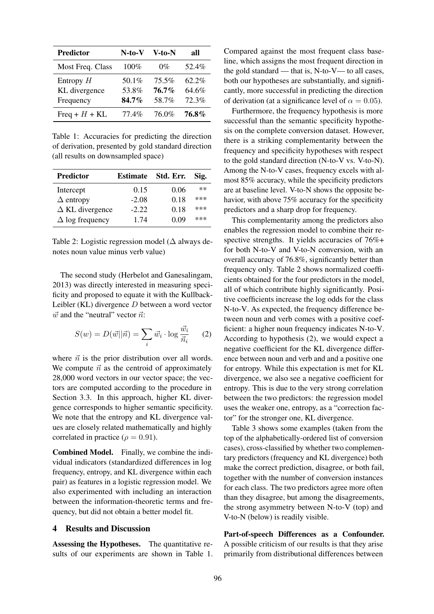| Predictor        | N-to-V  | V-to-N   | all      |
|------------------|---------|----------|----------|
| Most Freq. Class | $100\%$ | $0\%$    | 52.4%    |
| Entropy $H$      | 50.1%   | $75.5\%$ | $62.2\%$ |
| KL divergence    | 53.8%   | 76.7%    | 64.6%    |
| Frequency        | 84.7%   | 58.7%    | 72.3%    |
| Freq + $H$ + KL  | 77.4%   | 76.0%    | 76.8%    |

Table 1: Accuracies for predicting the direction of derivation, presented by gold standard direction (all results on downsampled space)

| <b>Predictor</b>       | <b>Estimate</b> | Std. Err. | Sig.  |
|------------------------|-----------------|-----------|-------|
| Intercept              | 0.15            | 0.06      | $***$ |
| $\Delta$ entropy       | $-2.08$         | 0.18      | $***$ |
| $\Delta$ KL divergence | $-2.22$         | 0.18      | $***$ |
| $\Delta$ log frequency | 1.74            | 0.09      | ***   |

Table 2: Logistic regression model ( $\Delta$  always denotes noun value minus verb value)

The second study (Herbelot and Ganesalingam, 2013) was directly interested in measuring specificity and proposed to equate it with the Kullback-Leibler (KL) divergence D between a word vector  $\vec{w}$  and the "neutral" vector  $\vec{n}$ :

$$
S(w) = D(\vec{w}||\vec{n}) = \sum_{i} \vec{w_i} \cdot \log \frac{\vec{w_i}}{\vec{n_i}} \qquad (2)
$$

where  $\vec{n}$  is the prior distribution over all words. We compute  $\vec{n}$  as the centroid of approximately 28,000 word vectors in our vector space; the vectors are computed according to the procedure in Section 3.3. In this approach, higher KL divergence corresponds to higher semantic specificity. We note that the entropy and KL divergence values are closely related mathematically and highly correlated in practice ( $\rho = 0.91$ ).

Combined Model. Finally, we combine the individual indicators (standardized differences in log frequency, entropy, and KL divergence within each pair) as features in a logistic regression model. We also experimented with including an interaction between the information-theoretic terms and frequency, but did not obtain a better model fit.

## 4 Results and Discussion

Assessing the Hypotheses. The quantitative results of our experiments are shown in Table 1. Compared against the most frequent class baseline, which assigns the most frequent direction in the gold standard — that is, N-to-V— to all cases, both our hypotheses are substantially, and significantly, more successful in predicting the direction of derivation (at a significance level of  $\alpha = 0.05$ ).

Furthermore, the frequency hypothesis is more successful than the semantic specificity hypothesis on the complete conversion dataset. However, there is a striking complementarity between the frequency and specificity hypotheses with respect to the gold standard direction (N-to-V vs. V-to-N). Among the N-to-V cases, frequency excels with almost 85% accuracy, while the specificity predictors are at baseline level. V-to-N shows the opposite behavior, with above 75% accuracy for the specificity predictors and a sharp drop for frequency.

This complementarity among the predictors also enables the regression model to combine their respective strengths. It yields accuracies of 76%+ for both N-to-V and V-to-N conversion, with an overall accuracy of 76.8%, significantly better than frequency only. Table 2 shows normalized coefficients obtained for the four predictors in the model, all of which contribute highly significantly. Positive coefficients increase the log odds for the class N-to-V. As expected, the frequency difference between noun and verb comes with a positive coefficient: a higher noun frequency indicates N-to-V. According to hypothesis (2), we would expect a negative coefficient for the KL divergence difference between noun and verb and and a positive one for entropy. While this expectation is met for KL divergence, we also see a negative coefficient for entropy. This is due to the very strong correlation between the two predictors: the regression model uses the weaker one, entropy, as a "correction factor" for the stronger one, KL divergence.

Table 3 shows some examples (taken from the top of the alphabetically-ordered list of conversion cases), cross-classified by whether two complementary predictors (frequency and KL divergence) both make the correct prediction, disagree, or both fail, together with the number of conversion instances for each class. The two predictors agree more often than they disagree, but among the disagreements, the strong asymmetry between N-to-V (top) and V-to-N (below) is readily visible.

Part-of-speech Differences as a Confounder. A possible criticism of our results is that they arise primarily from distributional differences between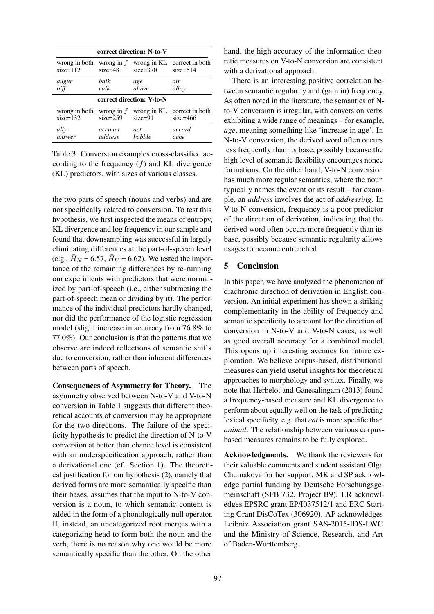| correct direction: N-to-V                |              |               |                                           |  |  |
|------------------------------------------|--------------|---------------|-------------------------------------------|--|--|
| wrong in both                            | wrong in $f$ | $size=370$    | wrong in KL correct in both               |  |  |
| $size=112$                               | $size=48$    |               | $size=514$                                |  |  |
| augur                                    | halk         | age           | air                                       |  |  |
| biff                                     | calk         | alarm         | alloy                                     |  |  |
| correct direction: V-to-N                |              |               |                                           |  |  |
| wrong in both wrong in $f$<br>$size=132$ | $size=259$   | $size=91$     | wrong in KL correct in both<br>$size=466$ |  |  |
| ally                                     | account      | act           | accord                                    |  |  |
| answer                                   | address      | <i>babble</i> | ache                                      |  |  |

Table 3: Conversion examples cross-classified according to the frequency  $(f)$  and KL divergence (KL) predictors, with sizes of various classes.

the two parts of speech (nouns and verbs) and are not specifically related to conversion. To test this hypothesis, we first inspected the means of entropy, KL divergence and log frequency in our sample and found that downsampling was successful in largely eliminating differences at the part-of-speech level (e.g.,  $\bar{H}_N = 6.57$ ,  $\bar{H}_V = 6.62$ ). We tested the importance of the remaining differences by re-running our experiments with predictors that were normalized by part-of-speech (i.e., either subtracting the part-of-speech mean or dividing by it). The performance of the individual predictors hardly changed, nor did the performance of the logistic regression model (slight increase in accuracy from 76.8% to 77.0%). Our conclusion is that the patterns that we observe are indeed reflections of semantic shifts due to conversion, rather than inherent differences between parts of speech.

Consequences of Asymmetry for Theory. The asymmetry observed between N-to-V and V-to-N conversion in Table 1 suggests that different theoretical accounts of conversion may be appropriate for the two directions. The failure of the specificity hypothesis to predict the direction of N-to-V conversion at better than chance level is consistent with an underspecification approach, rather than a derivational one (cf. Section 1). The theoretical justification for our hypothesis (2), namely that derived forms are more semantically specific than their bases, assumes that the input to N-to-V conversion is a noun, to which semantic content is added in the form of a phonologically null operator. If, instead, an uncategorized root merges with a categorizing head to form both the noun and the verb, there is no reason why one would be more semantically specific than the other. On the other

hand, the high accuracy of the information theoretic measures on V-to-N conversion are consistent with a derivational approach.

There is an interesting positive correlation between semantic regularity and (gain in) frequency. As often noted in the literature, the semantics of Nto-V conversion is irregular, with conversion verbs exhibiting a wide range of meanings – for example, *age*, meaning something like 'increase in age'. In N-to-V conversion, the derived word often occurs less frequently than its base, possibly because the high level of semantic flexibility encourages nonce formations. On the other hand, V-to-N conversion has much more regular semantics, where the noun typically names the event or its result – for example, an *address* involves the act of *addressing*. In V-to-N conversion, frequency is a poor predictor of the direction of derivation, indicating that the derived word often occurs more frequently than its base, possibly because semantic regularity allows usages to become entrenched.

## 5 Conclusion

In this paper, we have analyzed the phenomenon of diachronic direction of derivation in English conversion. An initial experiment has shown a striking complementarity in the ability of frequency and semantic specificity to account for the direction of conversion in N-to-V and V-to-N cases, as well as good overall accuracy for a combined model. This opens up interesting avenues for future exploration. We believe corpus-based, distributional measures can yield useful insights for theoretical approaches to morphology and syntax. Finally, we note that Herbelot and Ganesalingam (2013) found a frequency-based measure and KL divergence to perform about equally well on the task of predicting lexical specificity, e.g. that *cat* is more specific than *animal*. The relationship between various corpusbased measures remains to be fully explored.

Acknowledgments. We thank the reviewers for their valuable comments and student assistant Olga Chumakova for her support. MK and SP acknowledge partial funding by Deutsche Forschungsgemeinschaft (SFB 732, Project B9). LR acknowledges EPSRC grant EP/I037512/1 and ERC Starting Grant DisCoTex (306920). AP acknowledges Leibniz Association grant SAS-2015-IDS-LWC and the Ministry of Science, Research, and Art of Baden-Württemberg.